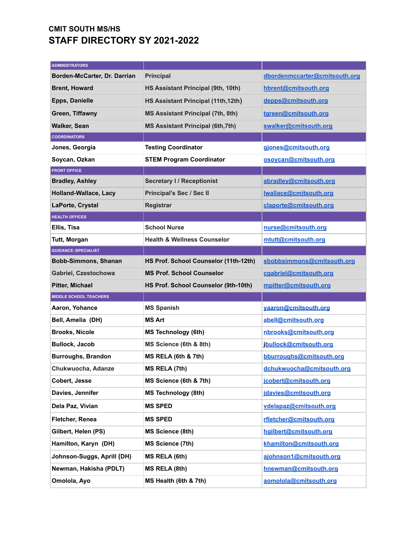## **CMIT SOUTH MS/HS STAFF DIRECTORY SY 2021-2022**

| <b>ADMINISTRATORS</b>         |                                          |                               |
|-------------------------------|------------------------------------------|-------------------------------|
| Borden-McCarter, Dr. Darrian  | <b>Principal</b>                         | dbordenmccarter@cmitsouth.org |
| <b>Brent, Howard</b>          | HS Assistant Principal (9th, 10th)       | hbrent@cmitsouth.org          |
| <b>Epps, Danielle</b>         | HS Assistant Principal (11th, 12th)      | depps@cmitsouth.org           |
| Green, Tiffawny               | <b>MS Assistant Principal (7th, 8th)</b> | tgreen@cmitsouth.org          |
| <b>Walker, Sean</b>           | <b>MS Assistant Principal (6th, 7th)</b> | swalker@cmitsouth.org         |
| <b>COORDINATORS</b>           |                                          |                               |
| Jones, Georgia                | <b>Testing Coordinator</b>               | giones@cmitsouth.org          |
| Soycan, Ozkan                 | <b>STEM Program Coordinator</b>          | osoycan@cmitsouth.org         |
| <b>FRONT OFFICE</b>           |                                          |                               |
| <b>Bradley, Ashley</b>        | <b>Secretary I/ Receptionist</b>         | abradley@cmitsouth.org        |
| <b>Holland-Wallace, Lacy</b>  | Principal's Sec / Sec II                 | lwallace@cmitsouth.org        |
| LaPorte, Crystal              | <b>Registrar</b>                         | claporte@cmitsouth.org        |
| <b>HEALTH OFFICES</b>         |                                          |                               |
| Ellis, Tisa                   | <b>School Nurse</b>                      | nurse@cmitsouth.org           |
| Tutt, Morgan                  | <b>Health &amp; Wellness Counselor</b>   | mtutt@cmitsouth.org           |
| <b>GUIDANCE /SPECIALIST</b>   |                                          |                               |
| <b>Bobb-Simmons, Shanan</b>   | HS Prof. School Counselor (11th-12th)    | sbobbsimmons@cmitsouth.org    |
| Gabriel, Czestochowa          | <b>MS Prof. School Counselor</b>         | cgabriel@cmitsouth.org        |
| Pitter, Michael               | HS Prof. School Counselor (9th-10th)     | mpitter@cmitsouth.org         |
| <b>MIDDLE SCHOOL TEACHERS</b> |                                          |                               |
| Aaron, Yohance                | <b>MS Spanish</b>                        | yaaron@cmitsouth.org          |
| Bell, Amelia (DH)             | <b>MS Art</b>                            | abell@cmitsouth.org           |
| <b>Brooks, Nicole</b>         | <b>MS Technology (6th)</b>               | nbrooks@cmitsouth.org         |
| <b>Bullock, Jacob</b>         | MS Science (6th & 8th)                   | jbullock@cmitsouth.org        |
| <b>Burroughs, Brandon</b>     | <b>MS RELA (6th &amp; 7th)</b>           | bburroughs@cmitsouth.org      |
| Chukwuocha, Adanze            | MS RELA (7th)                            | dchukwuocha@cmitsouth.org     |
| Cobert, Jesse                 | MS Science (6th & 7th)                   | jcobert@cmitsouth.org         |
| Davies, Jennifer              |                                          |                               |
|                               | <b>MS Technology (8th)</b>               | jdavies@cmitsouth.org         |
| Dela Paz, Vivian              | <b>MS SPED</b>                           | vdelapaz@cmitsouth.org        |
| Fletcher, Renea               | <b>MS SPED</b>                           | rfletcher@cmitsouth.org       |
| Gilbert, Helen (PS)           | <b>MS Science (8th)</b>                  | hailbert@cmitsouth.org        |
| Hamilton, Karyn (DH)          | <b>MS Science (7th)</b>                  | khamilton@cmitsouth.org       |
| Johnson-Suggs, Aprill (DH)    | MS RELA (6th)                            | ajohnson1@cmitsouth.org       |
| Newman, Hakisha (PDLT)        | MS RELA (8th)                            | hnewman@cmitsouth.org         |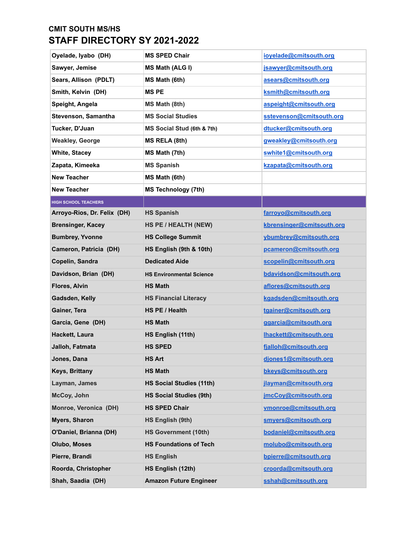## **CMIT SOUTH MS/HS STAFF DIRECTORY SY 2021-2022**

| Oyelade, Iyabo (DH)         | <b>MS SPED Chair</b>            | ioyelade@cmitsouth.org    |
|-----------------------------|---------------------------------|---------------------------|
| Sawyer, Jemise              | <b>MS Math (ALG I)</b>          | jsawyer@cmitsouth.org     |
| Sears, Allison (PDLT)       | MS Math (6th)                   | asears@cmitsouth.org      |
| Smith, Kelvin (DH)          | <b>MSPE</b>                     | ksmith@cmitsouth.org      |
| Speight, Angela             | MS Math (8th)                   | aspeight@cmitsouth.org    |
| Stevenson, Samantha         | <b>MS Social Studies</b>        | sstevenson@cmitsouth.org  |
| Tucker, D'Juan              | MS Social Stud (6th & 7th)      | dtucker@cmitsouth.org     |
| <b>Weakley, George</b>      | MS RELA (8th)                   | gweakley@cmitsouth.org    |
| <b>White, Stacey</b>        | MS Math (7th)                   | swhite1@cmitsouth.org     |
| Zapata, Kimeeka             | <b>MS Spanish</b>               | kzapata@cmitsouth.org     |
| <b>New Teacher</b>          | MS Math (6th)                   |                           |
| <b>New Teacher</b>          | <b>MS Technology (7th)</b>      |                           |
| <b>HIGH SCHOOL TEACHERS</b> |                                 |                           |
| Arroyo-Rios, Dr. Felix (DH) | <b>HS Spanish</b>               | farroyo@cmitsouth.org     |
| <b>Brensinger, Kacey</b>    | HS PE / HEALTH (NEW)            | kbrensinger@cmitsouth.org |
| <b>Bumbrey, Yvonne</b>      | <b>HS College Summit</b>        | ybumbrey@cmitsouth.org    |
| Cameron, Patricia (DH)      | HS English (9th & 10th)         | pcameron@cmitsouth.org    |
| Copelin, Sandra             | <b>Dedicated Aide</b>           | scopelin@cmitsouth.org    |
| Davidson, Brian (DH)        | <b>HS Environmental Science</b> | bdavidson@cmitsouth.org   |
| Flores, Alvin               | <b>HS Math</b>                  | aflores@cmitsouth.org     |
| Gadsden, Kelly              | <b>HS Financial Literacy</b>    | kgadsden@cmitsouth.org    |
| Gainer, Tera                | HS PE / Health                  | tgainer@cmitsouth.org     |
| Garcia, Gene (DH)           | <b>HS Math</b>                  | ggarcia@cmitsouth.org     |
| Hackett, Laura              | HS English (11th)               | Ihackett@cmitsouth.org    |
| Jalloh, Fatmata             | <b>HS SPED</b>                  | fjalloh@cmitsouth.org     |
| Jones, Dana                 | <b>HS Art</b>                   | djones1@cmitsouth.org     |
| Keys, Brittany              | <b>HS Math</b>                  | bkeys@cmitsouth.org       |
| Layman, James               | <b>HS Social Studies (11th)</b> | jlayman@cmitsouth.org     |
| McCoy, John                 | <b>HS Social Studies (9th)</b>  | jmcCoy@cmitsouth.org      |
| Monroe, Veronica (DH)       | <b>HS SPED Chair</b>            | vmonroe@cmitsouth.org     |
| <b>Myers, Sharon</b>        | HS English (9th)                | smyers@cmitsouth.org      |
| O'Daniel, Brianna (DH)      | <b>HS Government (10th)</b>     | bodaniel@cmitsouth.org    |
| <b>Olubo, Moses</b>         | <b>HS Foundations of Tech</b>   | molubo@cmitsouth.org      |
| Pierre, Brandi              | <b>HS English</b>               | bpierre@cmitsouth.org     |
| Roorda, Christopher         | HS English (12th)               | croorda@cmitsouth.org     |
| Shah, Saadia (DH)           | <b>Amazon Future Engineer</b>   | sshah@cmitsouth.org       |